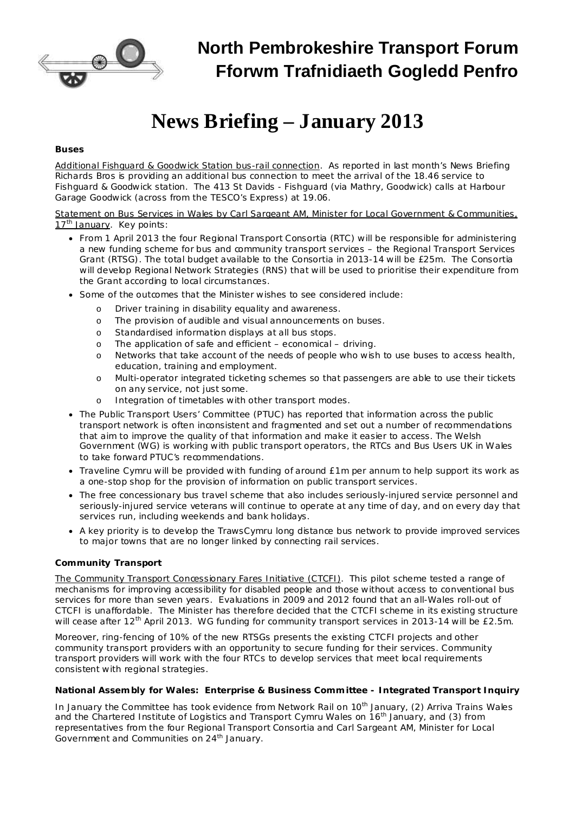

## **North Pembrokeshire Transport Forum Fforwm Trafnidiaeth Gogledd Penfro**

# **News Briefing – January 2013**

#### *Buses*

Additional Fishguard & Goodwick Station bus-rail connection. As reported in last month's News Briefing Richards Bros is providing an additional bus connection to meet the arrival of the 18.46 service to Fishguard & Goodwick station. The 413 St Davids - Fishguard (via Mathry, Goodwick) calls at Harbour Garage Goodwick (across from the TESCO's Express) at 19.06.

Statement on Bus Services in Wales by Carl Sargeant AM, Minister for Local Government & Communities, 17<sup>th</sup> January. Key points:

- · From 1 April 2013 the four Regional Transport Consortia (RTC) will be responsible for administering a new funding scheme for bus and community transport services – the Regional Transport Services Grant (RTSG). The total budget available to the Consortia in 2013-14 will be £25m. The Consortia will develop Regional Network Strategies (RNS) that will be used to prioritise their expenditure from the Grant according to local circumstances.
- · Some of the outcomes that the Minister wishes to see considered include:
	- o Driver training in disability equality and awareness.
	- o The provision of audible and visual announcements on buses.
	- o Standardised information displays at all bus stops.
	- o The application of safe and efficient economical driving.
	- o Networks that take account of the needs of people who wish to use buses to access health, education, training and employment.
	- o Multi-operator integrated ticketing schemes so that passengers are able to use their tickets on any service, not just some.
	- o Integration of timetables with other transport modes.
- · The Public Transport Users' Committee (PTUC) has reported that information across the public transport network is often inconsistent and fragmented and set out a number of recommendations that aim to improve the quality of that information and make it easier to access. The Welsh Government (WG) is working with public transport operators, the RTCs and Bus Users UK in Wales to take forward PTUC's recommendations.
- · Traveline Cymru will be provided with funding of around £1m per annum to help support its work as a one-stop shop for the provision of information on public transport services.
- · The free concessionary bus travel scheme that also includes seriously-injured service personnel and seriously-injured service veterans will continue to operate at any time of day, and on every day that services run, including weekends and bank holidays.
- · A key priority is to develop the TrawsCymru long distance bus network to provide improved services to major towns that are no longer linked by connecting rail services.

### *Community Transport*

The Community Transport Concessionary Fares Initiative (CTCFI). This pilot scheme tested a range of mechanisms for improving accessibility for disabled people and those without access to conventional bus services for more than seven years. Evaluations in 2009 and 2012 found that an all-Wales roll-out of CTCFI is unaffordable. The Minister has therefore decided that the CTCFI scheme in its existing structure will cease after 12<sup>th</sup> April 2013. WG funding for community transport services in 2013-14 will be £2.5m.

Moreover, ring-fencing of 10% of the new RTSGs presents the existing CTCFI projects and other community transport providers with an opportunity to secure funding for their services. Community transport providers will work with the four RTCs to develop services that meet local requirements consistent with regional strategies.

#### *National Assembly for Wales: Enterprise & Business Committee - Integrated Transport Inquiry*

In January the Committee has took evidence from Network Rail on 10<sup>th</sup> January, (2) Arriva Trains Wales and the Chartered Institute of Logistics and Transport Cymru Wales on 16<sup>th</sup> January, and (3) from representatives from the four Regional Transport Consortia and Carl Sargeant AM, Minister for Local Government and Communities on 24<sup>th</sup> January.